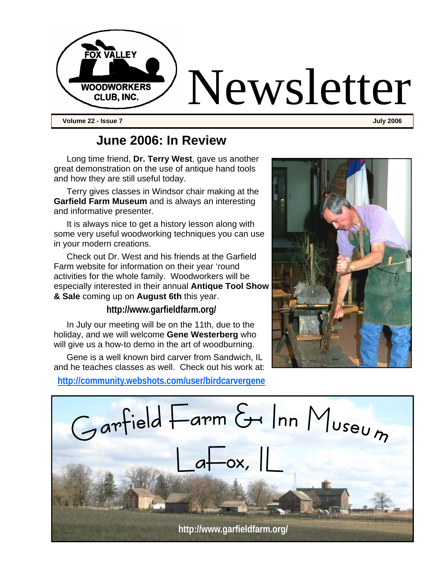

### **June 2006: In Review**

Long time friend, **Dr. Terry West**, gave us another great demonstration on the use of antique hand tools and how they are still useful today.

Terry gives classes in Windsor chair making at the **Garfield Farm Museum** and is always an interesting and informative presenter.

It is always nice to get a history lesson along with some very useful woodworking techniques you can use in your modern creations.

Check out Dr. West and his friends at the Garfield Farm website for information on their year 'round activities for the whole family. Woodworkers will be especially interested in their annual **Antique Tool Show & Sale** coming up on **August 6th** this year.

**http://www.garfieldfarm.org/** 

In July our meeting will be on the 11th, due to the holiday, and we will welcome **Gene Westerberg** who will give us a how-to demo in the art of woodburning.

Gene is a well known bird carver from Sandwich, IL and he teaches classes as well. Check out his work at:

**http://community.webshots.com/user/birdcarvergene**



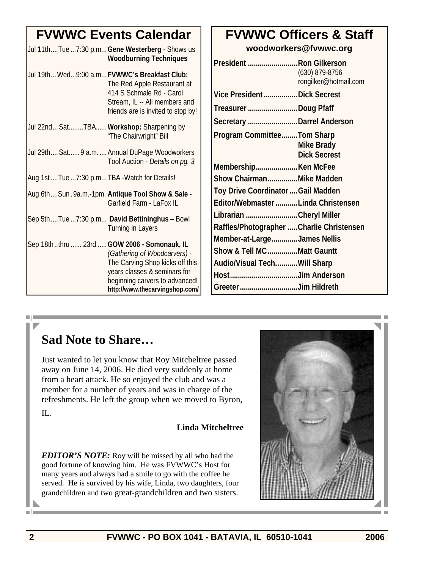|                                                 | <b>FVWWC Events Calendar</b>                                                                                                                                                                                       |
|-------------------------------------------------|--------------------------------------------------------------------------------------------------------------------------------------------------------------------------------------------------------------------|
|                                                 | Jul 11thTue 7:30 p.m Gene Westerberg - Shows us<br><b>Woodburning Techniques</b>                                                                                                                                   |
|                                                 | Jul 19th Wed9:00 a.m FVWWC's Breakfast Club:<br>The Red Apple Restaurant at<br>414 S Schmale Rd - Carol<br>Stream, IL -- All members and<br>friends are is invited to stop by!                                     |
| Jul 22nd SatTBA Workshop: Sharpening by         | "The Chairwright" Bill                                                                                                                                                                                             |
|                                                 | Jul 29th Sat 9 a.m.  Annual DuPage Woodworkers<br>Tool Auction - Details on pg. 3                                                                                                                                  |
| Aug 1st  Tue  7:30 p.m TBA - Watch for Details! |                                                                                                                                                                                                                    |
|                                                 | Aug 6thSun.9a.m.-1pm. Antique Tool Show & Sale -<br>Garfield Farm - LaFox IL                                                                                                                                       |
|                                                 | Sep 5thTue 7:30 p.m David Bettininghus - Bowl<br><b>Turning in Layers</b>                                                                                                                                          |
|                                                 | Sep 18ththru  23rd  GOW 2006 - Somonauk, IL<br>(Gathering of Woodcarvers) -<br>The Carving Shop kicks off this<br>years classes & seminars for<br>beginning carvers to advanced!<br>http://www.thecarvingshop.com/ |

### **FVWWC Officers & Staff**

**woodworkers@fvwwc.org** 

| President  Ron Gilkerson<br>(630) 879-8756<br>rongilker@hotmail.com |
|---------------------------------------------------------------------|
| Vice President  Dick Secrest                                        |
| Treasurer Doug Pfaff                                                |
| Secretary Darrel Anderson                                           |
| Program CommitteeTom Sharp<br>Mike Brady<br><b>Dick Secrest</b>     |
| MembershipKen McFee                                                 |
| Show ChairmanMike Madden                                            |
| Toy Drive Coordinator  Gail Madden                                  |
| Editor/Webmaster Linda Christensen                                  |
| Librarian Cheryl Miller                                             |
| Raffles/Photographer  Charlie Christensen                           |
| Member-at-LargeJames Nellis                                         |
| Show & Tell MC Matt Gauntt                                          |
| Audio/Visual TechWill Sharp                                         |
| HostJim Anderson                                                    |
| Greeter Jim Hildreth                                                |
|                                                                     |

# **Sad Note to Share…**

Just wanted to let you know that Roy Mitcheltree passed away on June 14, 2006. He died very suddenly at home from a heart attack. He so enjoyed the club and was a member for a number of years and was in charge of the refreshments. He left the group when we moved to Byron,

IL.

n.

### **Linda Mitcheltree**

*EDITOR'S NOTE:* Roy will be missed by all who had the good fortune of knowing him. He was FVWWC's Host for many years and always had a smile to go with the coffee he served. He is survived by his wife, Linda, two daughters, four grandchildren and two great-grandchildren and two sisters.

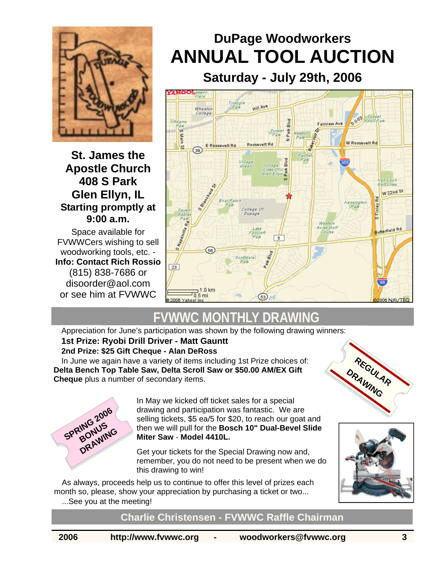

### **St. James the Apostle Church 408 S Park Glen Ellyn, IL Starting promptly at 9:00 a.m.**

Space available for FVWWCers wishing to sell woodworking tools, etc. - **Info: Contact Rich Rossio** (815) 838-7686 or disoorder@aol.com or see him at FVWWC

# **DuPage Woodworkers ANNUAL TOOL AUCTION**

**Saturday - July 29th, 2006**



# **FVWWC MONTHLY DRAWING**

Appreciation for June's participation was shown by the following drawing winners:

### **1st Prize: Ryobi Drill Driver - Matt Gauntt**

**2nd Prize: \$25 Gift Cheque - Alan DeRoss** 

In June we again have a variety of items including 1st Prize choices of: **Delta Bench Top Table Saw, Delta Scroll Saw or \$50.00 AM/EX Gift Cheque** plus a number of secondary items.



In May we kicked off ticket sales for a special drawing and participation was fantastic. We are selling tickets, \$5 ea/5 for \$20, to reach our goat and then we will pull for the **Bosch 10" Dual-Bevel Slide Miter Saw** - **Model 4410L.**

Get your tickets for the Special Drawing now and, remember, you do not need to be present when we do this drawing to win!

As always, proceeds help us to continue to offer this level of prizes each month so, please, show your appreciation by purchasing a ticket or two... ...See you at the meeting!





**Charlie Christensen - FVWWC Raffle Chairman**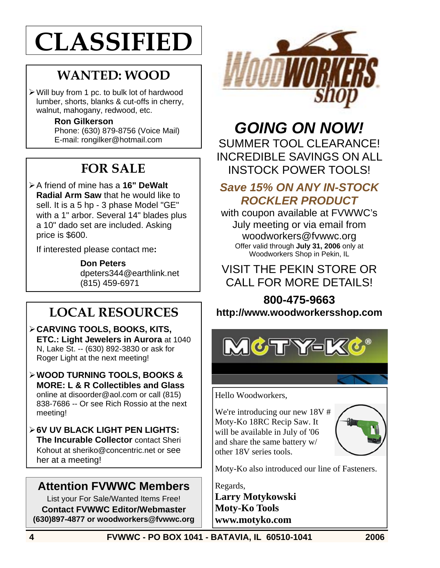# **CLASSIFIED**

# **WANTED: WOOD**

 $\triangleright$  Will buy from 1 pc. to bulk lot of hardwood lumber, shorts, blanks & cut-offs in cherry, walnut, mahogany, redwood, etc.

#### **Ron Gilkerson**

Phone: (630) 879-8756 (Voice Mail) E-mail: rongilker@hotmail.com

# **FOR SALE**

#### ¾ A friend of mine has a **16" DeWalt Radial Arm Saw** that he would like to sell. It is a 5 hp - 3 phase Model "GE" with a 1" arbor. Several 14" blades plus a 10" dado set are included. Asking price is \$600.

If interested please contact me**:** 

**Don Peters**  dpeters344@earthlink.net (815) 459-6971

# **LOCAL RESOURCES**

- ¾ **CARVING TOOLS, BOOKS, KITS, ETC.: Light Jewelers in Aurora** at 1040 N, Lake St. -- (630) 892-3830 or ask for Roger Light at the next meeting!
- ¾ **WOOD TURNING TOOLS, BOOKS & MORE: L & R Collectibles and Glass**  online at disoorder@aol.com or call (815) 838-7686 -- Or see Rich Rossio at the next meeting!
- ¾ **6V UV BLACK LIGHT PEN LIGHTS: The Incurable Collector** contact Sheri Kohout at sheriko@concentric.net or see her at a meeting!

### **Attention FVWWC Members**

List your For Sale/Wanted Items Free! **Contact FVWWC Editor/Webmaster (630)897-4877 or woodworkers@fvwwc.org** 



### *GOING ON NOW!* SUMMER TOOL CLEARANCE! INCREDIBLE SAVINGS ON ALL INSTOCK POWER TOOLS!

### *Save 15% ON ANY IN-STOCK ROCKLER PRODUCT*

with coupon available at FVWWC's July meeting or via email from woodworkers@fvwwc.org Offer valid through **July 31, 2006** only at Woodworkers Shop in Pekin, IL

### VISIT THE PEKIN STORE OR CALL FOR MORE DETAILS!

### **800-475-9663 http://www.woodworkersshop.com**



Hello Woodworkers,

We're introducing our new 18V # Moty-Ko 18RC Recip Saw. It will be available in July of '06 and share the same battery w/ other 18V series tools.



Moty-Ko also introduced our line of Fasteners.

Regards,

**Larry Motykowski Moty-Ko Tools www.motyko.com**

**4 FVWWC - PO BOX 1041 - BATAVIA, IL 60510-1041 2006**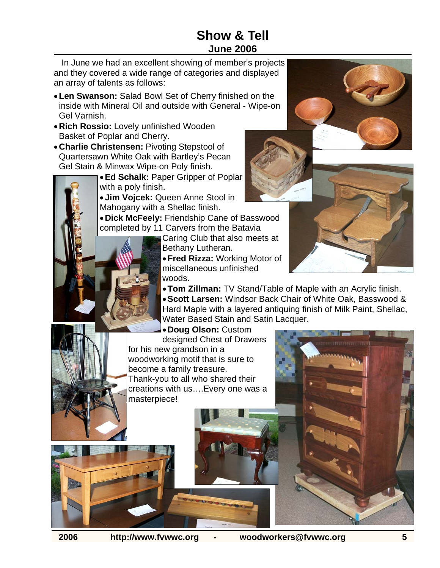### **Show & Tell June 2006**

In June we had an excellent showing of member's projects and they covered a wide range of categories and displayed an array of talents as follows:

- **Len Swanson:** Salad Bowl Set of Cherry finished on the inside with Mineral Oil and outside with General - Wipe-on Gel Varnish.
- **Rich Rossio:** Lovely unfinished Wooden Basket of Poplar and Cherry.
- **Charlie Christensen:** Pivoting Stepstool of Quartersawn White Oak with Bartley's Pecan Gel Stain & Minwax Wipe-on Poly finish.

• **Ed Schalk:** Paper Gripper of Poplar with a poly finish.

• **Jim Vojcek:** Queen Anne Stool in Mahogany with a Shellac finish.

• **Dick McFeely:** Friendship Cane of Basswood completed by 11 Carvers from the Batavia

Caring Club that also meets at Bethany Lutheran.

• **Fred Rizza:** Working Motor of miscellaneous unfinished woods.

• **Tom Zillman:** TV Stand/Table of Maple with an Acrylic finish. • **Scott Larsen:** Windsor Back Chair of White Oak, Basswood & Hard Maple with a layered antiquing finish of Milk Paint, Shellac, Water Based Stain and Satin Lacquer.

• **Doug Olson:** Custom designed Chest of Drawers for his new grandson in a woodworking motif that is sure to become a family treasure. Thank-you to all who shared their creations with us….Every one was a masterpiece!











**2006 http://www.fvwwc.org - woodworkers@fvwwc.org 5**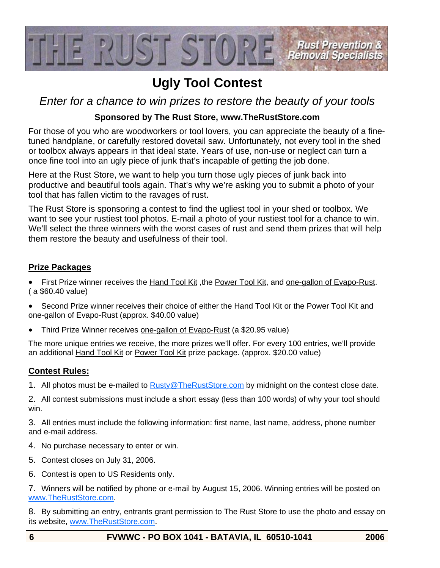

## **Ugly Tool Contest**

*Enter for a chance to win prizes to restore the beauty of your tools* 

### **Sponsored by The Rust Store, www.TheRustStore.com**

For those of you who are woodworkers or tool lovers, you can appreciate the beauty of a finetuned handplane, or carefully restored dovetail saw. Unfortunately, not every tool in the shed or toolbox always appears in that ideal state. Years of use, non-use or neglect can turn a once fine tool into an ugly piece of junk that's incapable of getting the job done.

Here at the Rust Store, we want to help you turn those ugly pieces of junk back into productive and beautiful tools again. That's why we're asking you to submit a photo of your tool that has fallen victim to the ravages of rust.

The Rust Store is sponsoring a contest to find the ugliest tool in your shed or toolbox. We want to see your rustiest tool photos. E-mail a photo of your rustiest tool for a chance to win. We'll select the three winners with the worst cases of rust and send them prizes that will help them restore the beauty and usefulness of their tool.

#### **Prize Packages**

- First Prize winner receives the Hand Tool Kit, the Power Tool Kit, and one-gallon of Evapo-Rust. ( a \$60.40 value)
- Second Prize winner receives their choice of either the Hand Tool Kit or the Power Tool Kit and one-gallon of Evapo-Rust (approx. \$40.00 value)
- Third Prize Winner receives one-gallon of Evapo-Rust (a \$20.95 value)

The more unique entries we receive, the more prizes we'll offer. For every 100 entries, we'll provide an additional Hand Tool Kit or Power Tool Kit prize package. (approx. \$20.00 value)

### **Contest Rules:**

1. All photos must be e-mailed to Rusty@TheRustStore.com by midnight on the contest close date.

2. All contest submissions must include a short essay (less than 100 words) of why your tool should win.

3. All entries must include the following information: first name, last name, address, phone number and e-mail address.

- 4. No purchase necessary to enter or win.
- 5. Contest closes on July 31, 2006.
- 6. Contest is open to US Residents only.

7. Winners will be notified by phone or e-mail by August 15, 2006. Winning entries will be posted on www.TheRustStore.com.

8. By submitting an entry, entrants grant permission to The Rust Store to use the photo and essay on its website, www.TheRustStore.com.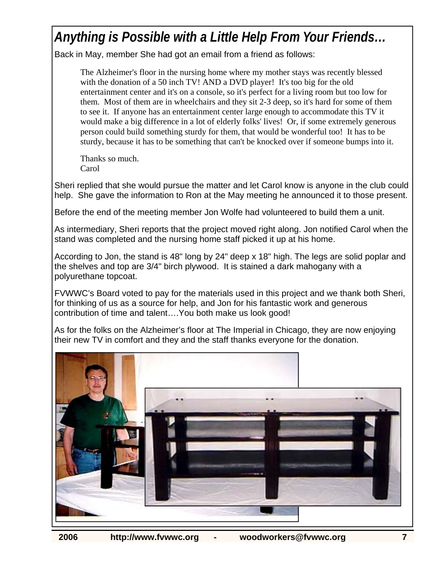# *Anything is Possible with a Little Help From Your Friends…*

Back in May, member She had got an email from a friend as follows:

The Alzheimer's floor in the nursing home where my mother stays was recently blessed with the donation of a 50 inch TV! AND a DVD player! It's too big for the old entertainment center and it's on a console, so it's perfect for a living room but too low for them. Most of them are in wheelchairs and they sit 2-3 deep, so it's hard for some of them to see it. If anyone has an entertainment center large enough to accommodate this TV it would make a big difference in a lot of elderly folks' lives! Or, if some extremely generous person could build something sturdy for them, that would be wonderful too! It has to be sturdy, because it has to be something that can't be knocked over if someone bumps into it.

Thanks so much. Carol

Sheri replied that she would pursue the matter and let Carol know is anyone in the club could help. She gave the information to Ron at the May meeting he announced it to those present.

Before the end of the meeting member Jon Wolfe had volunteered to build them a unit.

As intermediary, Sheri reports that the project moved right along. Jon notified Carol when the stand was completed and the nursing home staff picked it up at his home.

According to Jon, the stand is 48" long by 24" deep x 18" high. The legs are solid poplar and the shelves and top are 3/4" birch plywood. It is stained a dark mahogany with a polyurethane topcoat.

FVWWC's Board voted to pay for the materials used in this project and we thank both Sheri, for thinking of us as a source for help, and Jon for his fantastic work and generous contribution of time and talent….You both make us look good!

As for the folks on the Alzheimer's floor at The Imperial in Chicago, they are now enjoying their new TV in comfort and they and the staff thanks everyone for the donation.